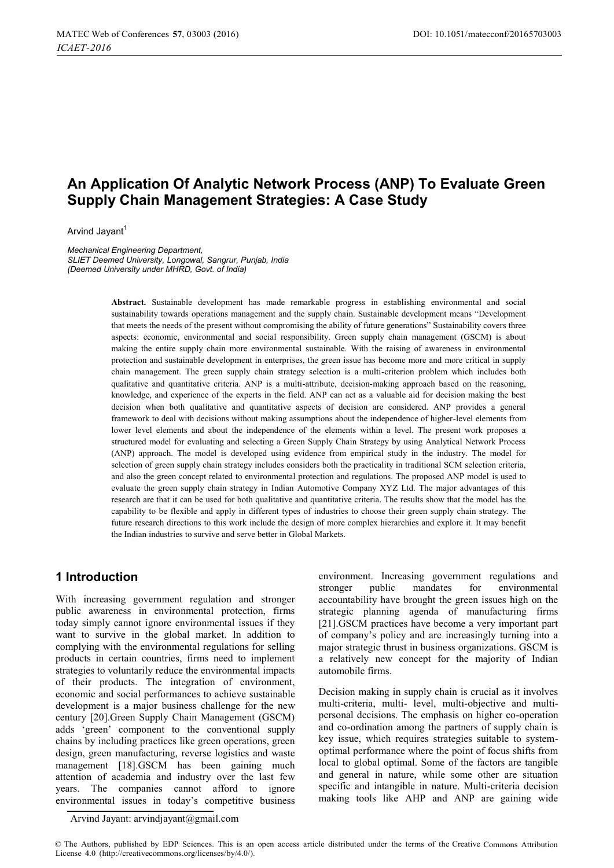# **An Application Of Analytic Network Process (ANP) To Evaluate Green Supply Chain Management Strategies: A Case Study**

Arvind Jayant<sup>1</sup>

*Mechanical Engineering Department, SLIET Deemed University, Longowal, Sangrur, Punjab, India (Deemed University under MHRD, Govt. of India)* 

> **Abstract.** Sustainable development has made remarkable progress in establishing environmental and social sustainability towards operations management and the supply chain. Sustainable development means "Development that meets the needs of the present without compromising the ability of future generations" Sustainability covers three aspects: economic, environmental and social responsibility. Green supply chain management (GSCM) is about making the entire supply chain more environmental sustainable. With the raising of awareness in environmental protection and sustainable development in enterprises, the green issue has become more and more critical in supply chain management. The green supply chain strategy selection is a multi-criterion problem which includes both qualitative and quantitative criteria. ANP is a multi-attribute, decision-making approach based on the reasoning, knowledge, and experience of the experts in the field. ANP can act as a valuable aid for decision making the best decision when both qualitative and quantitative aspects of decision are considered. ANP provides a general framework to deal with decisions without making assumptions about the independence of higher-level elements from lower level elements and about the independence of the elements within a level. The present work proposes a structured model for evaluating and selecting a Green Supply Chain Strategy by using Analytical Network Process (ANP) approach. The model is developed using evidence from empirical study in the industry. The model for selection of green supply chain strategy includes considers both the practicality in traditional SCM selection criteria, and also the green concept related to environmental protection and regulations. The proposed ANP model is used to evaluate the green supply chain strategy in Indian Automotive Company XYZ Ltd. The major advantages of this research are that it can be used for both qualitative and quantitative criteria. The results show that the model has the capability to be flexible and apply in different types of industries to choose their green supply chain strategy. The future research directions to this work include the design of more complex hierarchies and explore it. It may benefit the Indian industries to survive and serve better in Global Markets.

## **1 Introduction**

With increasing government regulation and stronger public awareness in environmental protection, firms today simply cannot ignore environmental issues if they want to survive in the global market. In addition to complying with the environmental regulations for selling products in certain countries, firms need to implement strategies to voluntarily reduce the environmental impacts of their products. The integration of environment, economic and social performances to achieve sustainable development is a major business challenge for the new century [20].Green Supply Chain Management (GSCM) adds 'green' component to the conventional supply chains by including practices like green operations, green design, green manufacturing, reverse logistics and waste management [18].GSCM has been gaining much attention of academia and industry over the last few years. The companies cannot afford to ignore environmental issues in today's competitive business environment. Increasing government regulations and stronger public mandates for environmental accountability have brought the green issues high on the strategic planning agenda of manufacturing firms [21].GSCM practices have become a very important part of company's policy and are increasingly turning into a major strategic thrust in business organizations. GSCM is a relatively new concept for the majority of Indian automobile firms.

Decision making in supply chain is crucial as it involves multi-criteria, multi- level, multi-objective and multipersonal decisions. The emphasis on higher co-operation and co-ordination among the partners of supply chain is key issue, which requires strategies suitable to systemoptimal performance where the point of focus shifts from local to global optimal. Some of the factors are tangible and general in nature, while some other are situation specific and intangible in nature. Multi-criteria decision making tools like AHP and ANP are gaining wide

Arvind Jayant: arvindjayant@gmail.com

<sup>©</sup> The Authors, published by EDP Sciences. This is an open access article distributed under the terms of the Creative Commons Attribution License 4.0 [\(http://creativecommons.org/licenses/by/4.0/\).](http://creativecommons.org/licenses/by/4.0/)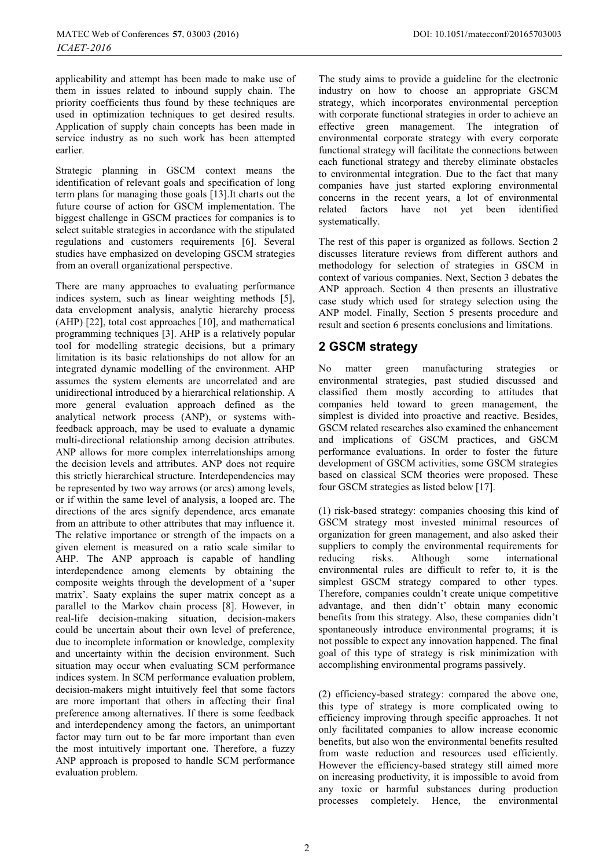applicability and attempt has been made to make use of them in issues related to inbound supply chain. The priority coefficients thus found by these techniques are used in optimization techniques to get desired results. Application of supply chain concepts has been made in service industry as no such work has been attempted earlier.

Strategic planning in GSCM context means the identification of relevant goals and specification of long term plans for managing those goals [13].It charts out the future course of action for GSCM implementation. The biggest challenge in GSCM practices for companies is to select suitable strategies in accordance with the stipulated regulations and customers requirements [6]. Several studies have emphasized on developing GSCM strategies from an overall organizational perspective.

There are many approaches to evaluating performance indices system, such as linear weighting methods [5], data envelopment analysis, analytic hierarchy process (AHP) [22], total cost approaches [10], and mathematical programming techniques [3]. AHP is a relatively popular tool for modelling strategic decisions, but a primary limitation is its basic relationships do not allow for an integrated dynamic modelling of the environment. AHP assumes the system elements are uncorrelated and are unidirectional introduced by a hierarchical relationship. A more general evaluation approach defined as the analytical network process (ANP), or systems withfeedback approach, may be used to evaluate a dynamic multi-directional relationship among decision attributes. ANP allows for more complex interrelationships among the decision levels and attributes. ANP does not require this strictly hierarchical structure. Interdependencies may be represented by two way arrows (or arcs) among levels, or if within the same level of analysis, a looped arc. The directions of the arcs signify dependence, arcs emanate from an attribute to other attributes that may influence it. The relative importance or strength of the impacts on a given element is measured on a ratio scale similar to AHP. The ANP approach is capable of handling interdependence among elements by obtaining the composite weights through the development of a 'super matrix'. Saaty explains the super matrix concept as a parallel to the Markov chain process [8]. However, in real-life decision-making situation, decision-makers could be uncertain about their own level of preference, due to incomplete information or knowledge, complexity and uncertainty within the decision environment. Such situation may occur when evaluating SCM performance indices system. In SCM performance evaluation problem, decision-makers might intuitively feel that some factors are more important that others in affecting their final preference among alternatives. If there is some feedback and interdependency among the factors, an unimportant factor may turn out to be far more important than even the most intuitively important one. Therefore, a fuzzy ANP approach is proposed to handle SCM performance evaluation problem.

The study aims to provide a guideline for the electronic industry on how to choose an appropriate GSCM strategy, which incorporates environmental perception with corporate functional strategies in order to achieve an effective green management. The integration of environmental corporate strategy with every corporate functional strategy will facilitate the connections between each functional strategy and thereby eliminate obstacles to environmental integration. Due to the fact that many companies have just started exploring environmental concerns in the recent years, a lot of environmental<br>related factors have not yet been identified have not yet been identified systematically.

The rest of this paper is organized as follows. Section 2 discusses literature reviews from different authors and methodology for selection of strategies in GSCM in context of various companies. Next, Section 3 debates the ANP approach. Section 4 then presents an illustrative case study which used for strategy selection using the ANP model. Finally, Section 5 presents procedure and result and section 6 presents conclusions and limitations.

## **2 GSCM strategy**

No matter green manufacturing strategies or environmental strategies, past studied discussed and classified them mostly according to attitudes that companies held toward to green management, the simplest is divided into proactive and reactive. Besides, GSCM related researches also examined the enhancement and implications of GSCM practices, and GSCM performance evaluations. In order to foster the future development of GSCM activities, some GSCM strategies based on classical SCM theories were proposed. These four GSCM strategies as listed below [17].

(1) risk-based strategy: companies choosing this kind of GSCM strategy most invested minimal resources of organization for green management, and also asked their suppliers to comply the environmental requirements for reducing risks. Although some international environmental rules are difficult to refer to, it is the simplest GSCM strategy compared to other types. Therefore, companies couldn't create unique competitive advantage, and then didn't' obtain many economic benefits from this strategy. Also, these companies didn't spontaneously introduce environmental programs; it is not possible to expect any innovation happened. The final goal of this type of strategy is risk minimization with accomplishing environmental programs passively.

(2) efficiency-based strategy: compared the above one, this type of strategy is more complicated owing to efficiency improving through specific approaches. It not only facilitated companies to allow increase economic benefits, but also won the environmental benefits resulted from waste reduction and resources used efficiently. However the efficiency-based strategy still aimed more on increasing productivity, it is impossible to avoid from any toxic or harmful substances during production processes completely. Hence, the environmental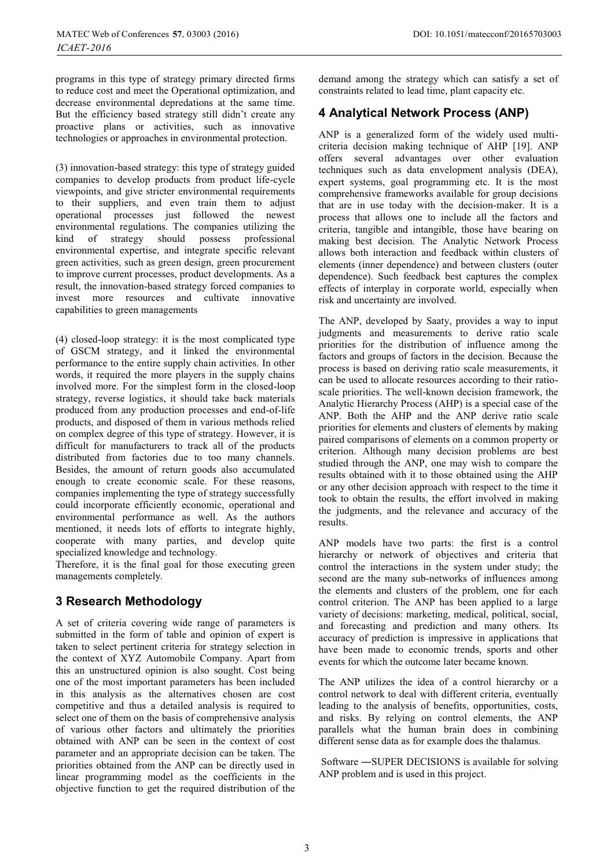programs in this type of strategy primary directed firms to reduce cost and meet the Operational optimization, and decrease environmental depredations at the same time. But the efficiency based strategy still didn't create any proactive plans or activities, such as innovative technologies or approaches in environmental protection.

(3) innovation-based strategy: this type of strategy guided companies to develop products from product life-cycle viewpoints, and give stricter environmental requirements to their suppliers, and even train them to adjust operational processes just followed the newest environmental regulations. The companies utilizing the<br>kind of strategy should possess professional of strategy should possess professional environmental expertise, and integrate specific relevant green activities, such as green design, green procurement to improve current processes, product developments. As a result, the innovation-based strategy forced companies to invest more resources and cultivate innovative capabilities to green managements

(4) closed-loop strategy: it is the most complicated type of GSCM strategy, and it linked the environmental performance to the entire supply chain activities. In other words, it required the more players in the supply chains involved more. For the simplest form in the closed-loop strategy, reverse logistics, it should take back materials produced from any production processes and end-of-life products, and disposed of them in various methods relied on complex degree of this type of strategy. However, it is difficult for manufacturers to track all of the products distributed from factories due to too many channels. Besides, the amount of return goods also accumulated enough to create economic scale. For these reasons, companies implementing the type of strategy successfully could incorporate efficiently economic, operational and environmental performance as well. As the authors mentioned, it needs lots of efforts to integrate highly, cooperate with many parties, and develop quite specialized knowledge and technology.

Therefore, it is the final goal for those executing green managements completely.

# **3 Research Methodology**

A set of criteria covering wide range of parameters is submitted in the form of table and opinion of expert is taken to select pertinent criteria for strategy selection in the context of XYZ Automobile Company. Apart from this an unstructured opinion is also sought. Cost being one of the most important parameters has been included in this analysis as the alternatives chosen are cost competitive and thus a detailed analysis is required to select one of them on the basis of comprehensive analysis of various other factors and ultimately the priorities obtained with ANP can be seen in the context of cost parameter and an appropriate decision can be taken. The priorities obtained from the ANP can be directly used in linear programming model as the coefficients in the objective function to get the required distribution of the demand among the strategy which can satisfy a set of constraints related to lead time, plant capacity etc.

# **4 Analytical Network Process (ANP)**

ANP is a generalized form of the widely used multicriteria decision making technique of AHP [19]. ANP offers several advantages over other evaluation techniques such as data envelopment analysis (DEA), expert systems, goal programming etc. It is the most comprehensive frameworks available for group decisions that are in use today with the decision-maker. It is a process that allows one to include all the factors and criteria, tangible and intangible, those have bearing on making best decision. The Analytic Network Process allows both interaction and feedback within clusters of elements (inner dependence) and between clusters (outer dependence). Such feedback best captures the complex effects of interplay in corporate world, especially when risk and uncertainty are involved.

The ANP, developed by Saaty, provides a way to input judgments and measurements to derive ratio scale priorities for the distribution of influence among the factors and groups of factors in the decision. Because the process is based on deriving ratio scale measurements, it can be used to allocate resources according to their ratioscale priorities. The well-known decision framework, the Analytic Hierarchy Process (AHP) is a special case of the ANP. Both the AHP and the ANP derive ratio scale priorities for elements and clusters of elements by making paired comparisons of elements on a common property or criterion. Although many decision problems are best studied through the ANP, one may wish to compare the results obtained with it to those obtained using the AHP or any other decision approach with respect to the time it took to obtain the results, the effort involved in making the judgments, and the relevance and accuracy of the results.

ANP models have two parts: the first is a control hierarchy or network of objectives and criteria that control the interactions in the system under study; the second are the many sub-networks of influences among the elements and clusters of the problem, one for each control criterion. The ANP has been applied to a large variety of decisions: marketing, medical, political, social, and forecasting and prediction and many others. Its accuracy of prediction is impressive in applications that have been made to economic trends, sports and other events for which the outcome later became known.

The ANP utilizes the idea of a control hierarchy or a control network to deal with different criteria, eventually leading to the analysis of benefits, opportunities, costs, and risks. By relying on control elements, the ANP parallels what the human brain does in combining different sense data as for example does the thalamus.

 Software ―SUPER DECISIONS is available for solving ANP problem and is used in this project.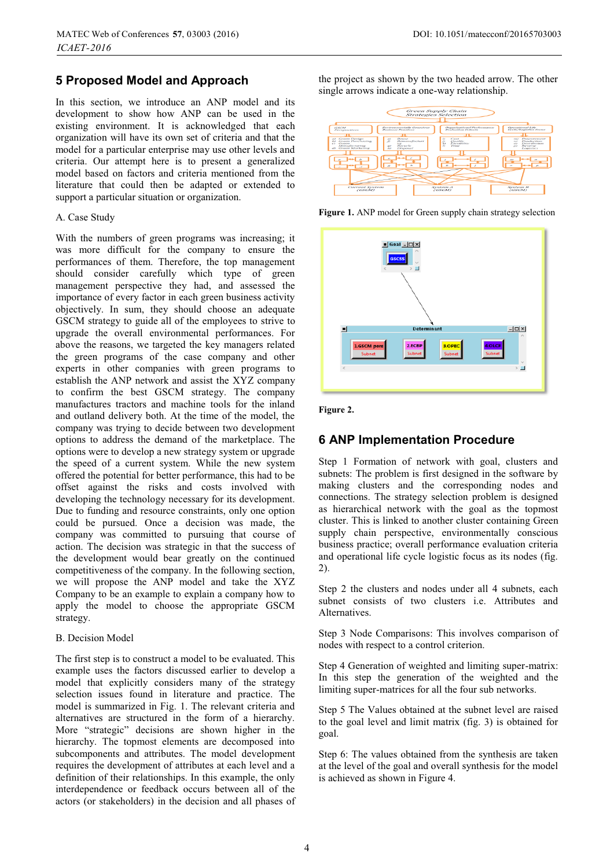## **5 Proposed Model and Approach**

In this section, we introduce an ANP model and its development to show how ANP can be used in the existing environment. It is acknowledged that each organization will have its own set of criteria and that the model for a particular enterprise may use other levels and criteria. Our attempt here is to present a generalized model based on factors and criteria mentioned from the literature that could then be adapted or extended to support a particular situation or organization.

### A. Case Study

With the numbers of green programs was increasing; it was more difficult for the company to ensure the performances of them. Therefore, the top management should consider carefully which type of green management perspective they had, and assessed the importance of every factor in each green business activity objectively. In sum, they should choose an adequate GSCM strategy to guide all of the employees to strive to upgrade the overall environmental performances. For above the reasons, we targeted the key managers related the green programs of the case company and other experts in other companies with green programs to establish the ANP network and assist the XYZ company to confirm the best GSCM strategy. The company manufactures tractors and machine tools for the inland and outland delivery both. At the time of the model, the company was trying to decide between two development options to address the demand of the marketplace. The options were to develop a new strategy system or upgrade the speed of a current system. While the new system offered the potential for better performance, this had to be offset against the risks and costs involved with developing the technology necessary for its development. Due to funding and resource constraints, only one option could be pursued. Once a decision was made, the company was committed to pursuing that course of action. The decision was strategic in that the success of the development would bear greatly on the continued competitiveness of the company. In the following section, we will propose the ANP model and take the XYZ Company to be an example to explain a company how to apply the model to choose the appropriate GSCM strategy.

### B. Decision Model

The first step is to construct a model to be evaluated. This example uses the factors discussed earlier to develop a model that explicitly considers many of the strategy selection issues found in literature and practice. The model is summarized in Fig. 1. The relevant criteria and alternatives are structured in the form of a hierarchy. More "strategic" decisions are shown higher in the hierarchy. The topmost elements are decomposed into subcomponents and attributes. The model development requires the development of attributes at each level and a definition of their relationships. In this example, the only interdependence or feedback occurs between all of the actors (or stakeholders) in the decision and all phases of

the project as shown by the two headed arrow. The other single arrows indicate a one-way relationship.



**Figure 1.** ANP model for Green supply chain strategy selection





## **6 ANP Implementation Procedure**

Step 1 Formation of network with goal, clusters and subnets: The problem is first designed in the software by making clusters and the corresponding nodes and connections. The strategy selection problem is designed as hierarchical network with the goal as the topmost cluster. This is linked to another cluster containing Green supply chain perspective, environmentally conscious business practice; overall performance evaluation criteria and operational life cycle logistic focus as its nodes (fig. 2).

Step 2 the clusters and nodes under all 4 subnets, each subnet consists of two clusters i.e. Attributes and Alternatives.

Step 3 Node Comparisons: This involves comparison of nodes with respect to a control criterion.

Step 4 Generation of weighted and limiting super-matrix: In this step the generation of the weighted and the limiting super-matrices for all the four sub networks.

Step 5 The Values obtained at the subnet level are raised to the goal level and limit matrix (fig. 3) is obtained for goal.

Step 6: The values obtained from the synthesis are taken at the level of the goal and overall synthesis for the model is achieved as shown in Figure 4.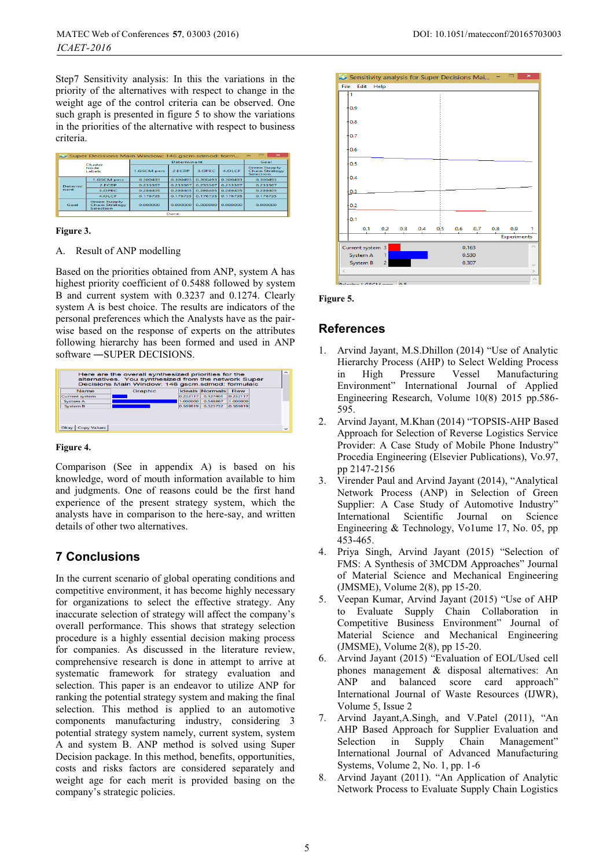Step7 Sensitivity analysis: In this the variations in the priority of the alternatives with respect to change in the weight age of the control criteria can be observed. One such graph is presented in figure 5 to show the variations in the priorities of the alternative with respect to business criteria.

| $\mathbb{\times}$<br>Super Decisions Main Window: 146 gscm.sdmod: form |                                                                  |             |          |            |          |                                                                  |  |  |
|------------------------------------------------------------------------|------------------------------------------------------------------|-------------|----------|------------|----------|------------------------------------------------------------------|--|--|
| Cluster                                                                |                                                                  | Determinant |          |            |          | Goal                                                             |  |  |
|                                                                        | Node<br>Labels                                                   |             | 2.ECBP   | 3.OPEC     | 4.OLCF   | <b>Green Supply</b><br><b>Chain Strategy</b><br><b>Selection</b> |  |  |
| Determi<br>nant                                                        | 1.GSCM pers                                                      | 0.300493    | 0.300493 | 0.300493   | 0.300493 | 0.300493                                                         |  |  |
|                                                                        | 2.ECBP                                                           | 0.233367    | 0.233367 | 0.233367   | 0.233367 | 0.233367                                                         |  |  |
|                                                                        | 3.OPEC                                                           | 0.289405    | 0.289405 | 0.289405   | 0.289405 | 0.289405                                                         |  |  |
|                                                                        | 4.OLCF                                                           | 0.176735    | 0.176735 | 0.176735   | 0.176735 | 0.176735                                                         |  |  |
| Goal                                                                   | <b>Green Supply</b><br><b>Chain Strategy</b><br><b>Selection</b> | 0.000000    | 0.000000 | o oggada l | 0.000000 | 0.000000                                                         |  |  |
| $-$                                                                    |                                                                  |             |          |            |          |                                                                  |  |  |

### **Figure 3.**

### A. Result of ANP modelling

Based on the priorities obtained from ANP, system A has highest priority coefficient of 0.5488 followed by system B and current system with 0.3237 and 0.1274. Clearly system A is best choice. The results are indicators of the personal preferences which the Analysts have as the pairwise based on the response of experts on the attributes following hierarchy has been formed and used in ANP software ―SUPER DECISIONS.



### **Figure 4.**

Comparison (See in appendix A) is based on his knowledge, word of mouth information available to him and judgments. One of reasons could be the first hand experience of the present strategy system, which the analysts have in comparison to the here-say, and written details of other two alternatives.

## **7 Conclusions**

In the current scenario of global operating conditions and competitive environment, it has become highly necessary for organizations to select the effective strategy. Any inaccurate selection of strategy will affect the company's overall performance. This shows that strategy selection procedure is a highly essential decision making process for companies. As discussed in the literature review, comprehensive research is done in attempt to arrive at systematic framework for strategy evaluation and selection. This paper is an endeavor to utilize ANP for ranking the potential strategy system and making the final selection. This method is applied to an automotive components manufacturing industry, considering 3 potential strategy system namely, current system, system A and system B. ANP method is solved using Super Decision package. In this method, benefits, opportunities, costs and risks factors are considered separately and weight age for each merit is provided basing on the company's strategic policies.





## **References**

- 1. Arvind Jayant, M.S.Dhillon (2014) "Use of Analytic Hierarchy Process (AHP) to Select Welding Process in High Pressure Vessel Manufacturing Environment" International Journal of Applied Engineering Research, Volume 10(8) 2015 pp.586- 595.
- 2. Arvind Jayant, M.Khan (2014) "TOPSIS-AHP Based Approach for Selection of Reverse Logistics Service Provider: A Case Study of Mobile Phone Industry" Procedia Engineering (Elsevier Publications), Vo.97, pp 2147-2156
- 3. Virender Paul and Arvind Jayant (2014), "Analytical Network Process (ANP) in Selection of Green Supplier: A Case Study of Automotive Industry"<br>International Scientific Journal on Science International Scientific Journal on Science Engineering & Technology, Vo1ume 17, No. 05, pp 453-465.
- 4. Priya Singh, Arvind Jayant (2015) "Selection of FMS: A Synthesis of 3MCDM Approaches" Journal of Material Science and Mechanical Engineering (JMSME), Volume 2(8), pp 15-20.
- 5. Veepan Kumar, Arvind Jayant (2015) "Use of AHP to Evaluate Supply Chain Collaboration in Competitive Business Environment" Journal of Material Science and Mechanical Engineering (JMSME), Volume 2(8), pp 15-20.
- 6. Arvind Jayant (2015) "Evaluation of EOL/Used cell phones management & disposal alternatives: An ANP and balanced score card approach" International Journal of Waste Resources (IJWR), Volume 5, Issue 2
- 7. Arvind Jayant,A.Singh, and V.Patel (2011), "An AHP Based Approach for Supplier Evaluation and Selection in Supply Chain Management" International Journal of Advanced Manufacturing Systems, Volume 2, No. 1, pp. 1-6
- 8. Arvind Jayant (2011). "An Application of Analytic Network Process to Evaluate Supply Chain Logistics